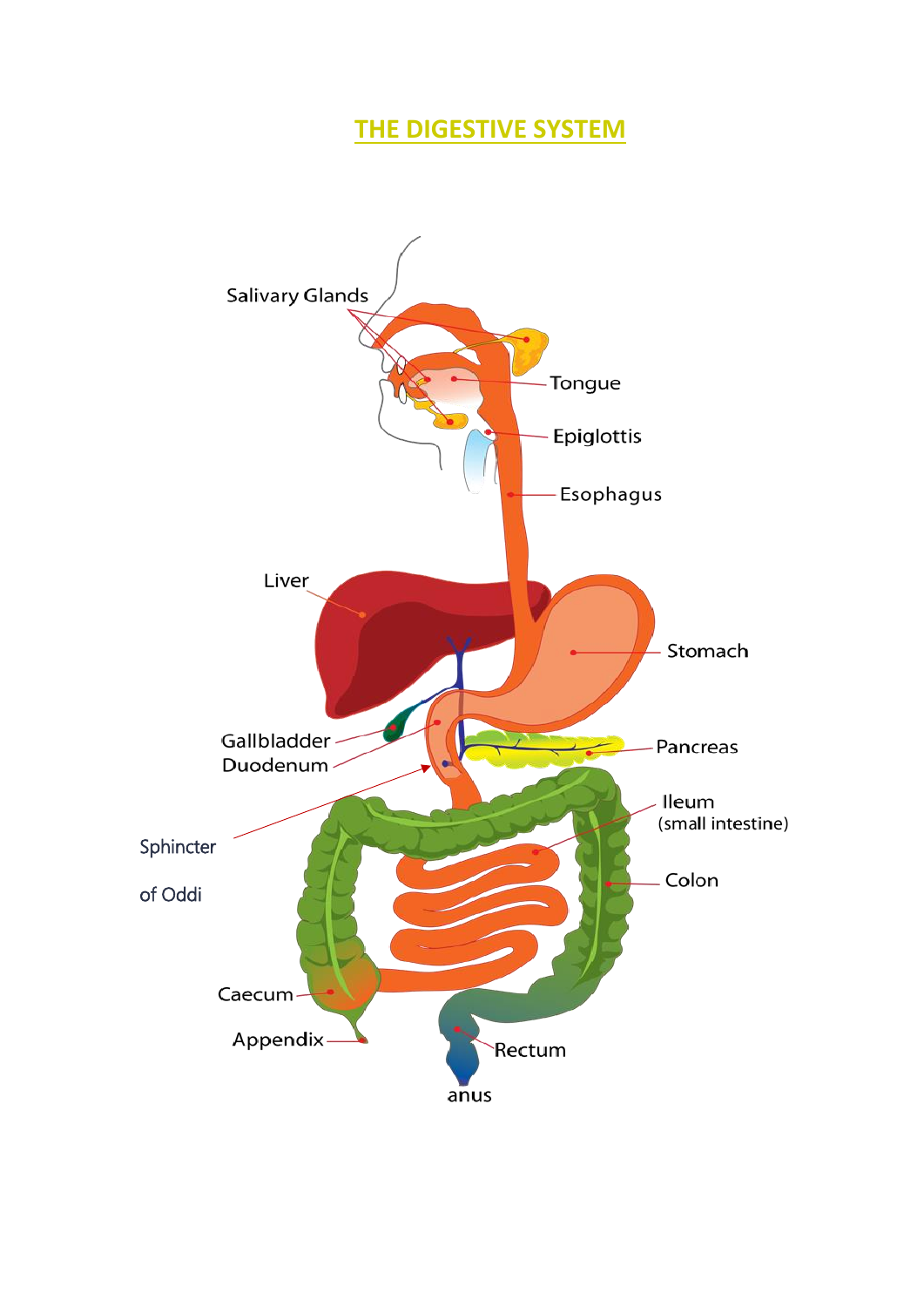## **THE DIGESTIVE SYSTEM**

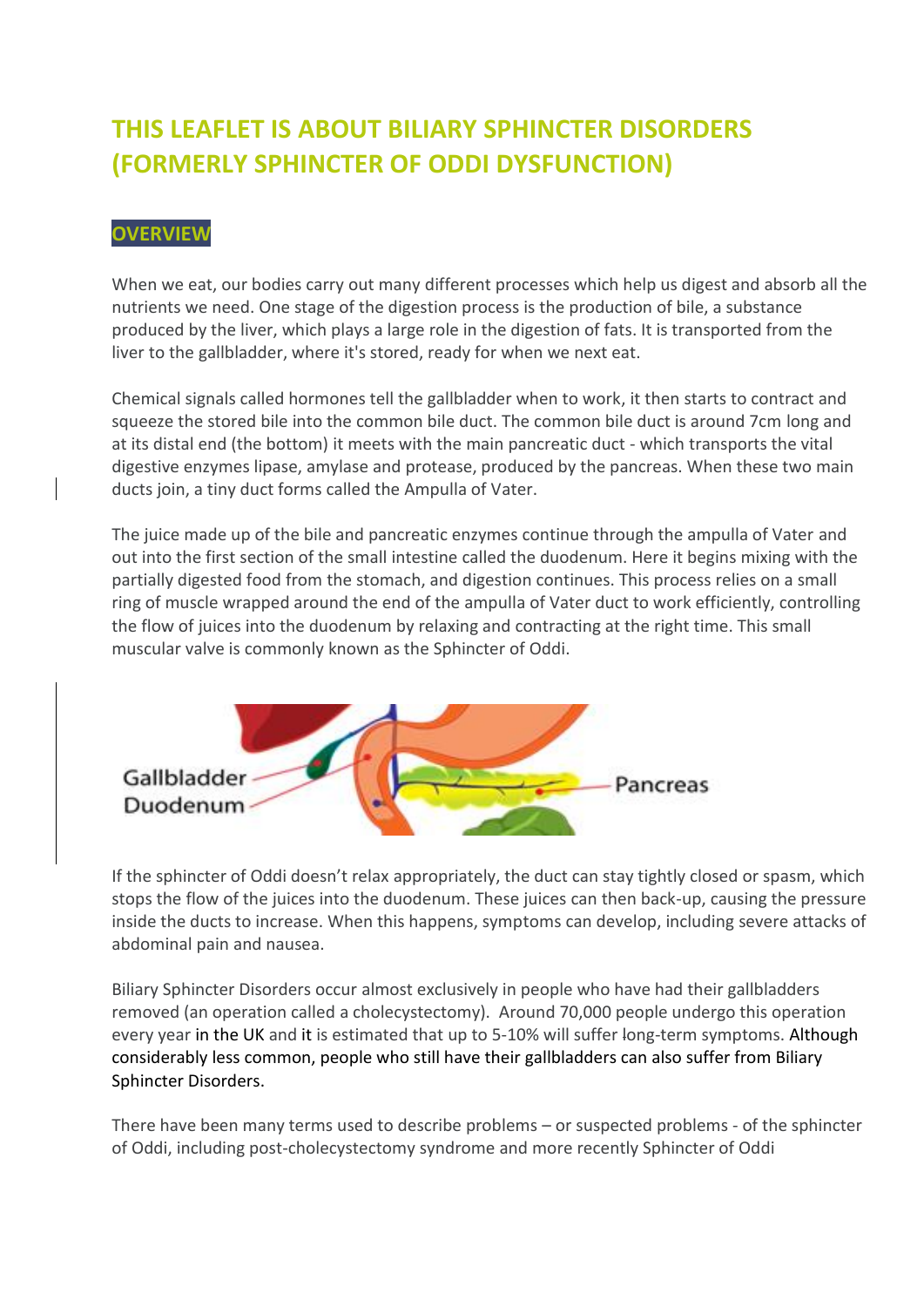# **THIS LEAFLET IS ABOUT BILIARY SPHINCTER DISORDERS (FORMERLY SPHINCTER OF ODDI DYSFUNCTION)**

### **OVERVIEW**

When we eat, our bodies carry out many different processes which help us digest and absorb all the nutrients we need. One stage of the digestion process is the production of bile, a substance produced by the liver, which plays a large role in the digestion of fats. It is transported from the liver to the gallbladder, where it's stored, ready for when we next eat.

Chemical signals called hormones tell the gallbladder when to work, it then starts to contract and squeeze the stored bile into the common bile duct. The common bile duct is around 7cm long and at its distal end (the bottom) it meets with the main pancreatic duct - which transports the vital digestive enzymes lipase, amylase and protease, produced by the pancreas. When these two main ducts join, a tiny duct forms called the Ampulla of Vater.

The juice made up of the bile and pancreatic enzymes continue through the ampulla of Vater and out into the first section of the small intestine called the duodenum. Here it begins mixing with the partially digested food from the stomach, and digestion continues. This process relies on a small ring of muscle wrapped around the end of the ampulla of Vater duct to work efficiently, controlling the flow of juices into the duodenum by relaxing and contracting at the right time. This small muscular valve is commonly known as the Sphincter of Oddi.



If the sphincter of Oddi doesn't relax appropriately, the duct can stay tightly closed or spasm, which stops the flow of the juices into the duodenum. These juices can then back-up, causing the pressure inside the ducts to increase. When this happens, symptoms can develop, including severe attacks of abdominal pain and nausea.

Biliary Sphincter Disorders occur almost exclusively in people who have had their gallbladders removed (an operation called a cholecystectomy). Around 70,000 people undergo this operation every year in the UK and it is estimated that up to 5-10% will suffer long-term symptoms. Although considerably less common, people who still have their gallbladders can also suffer from Biliary Sphincter Disorders.

There have been many terms used to describe problems – or suspected problems - of the sphincter of Oddi, including post-cholecystectomy syndrome and more recently Sphincter of Oddi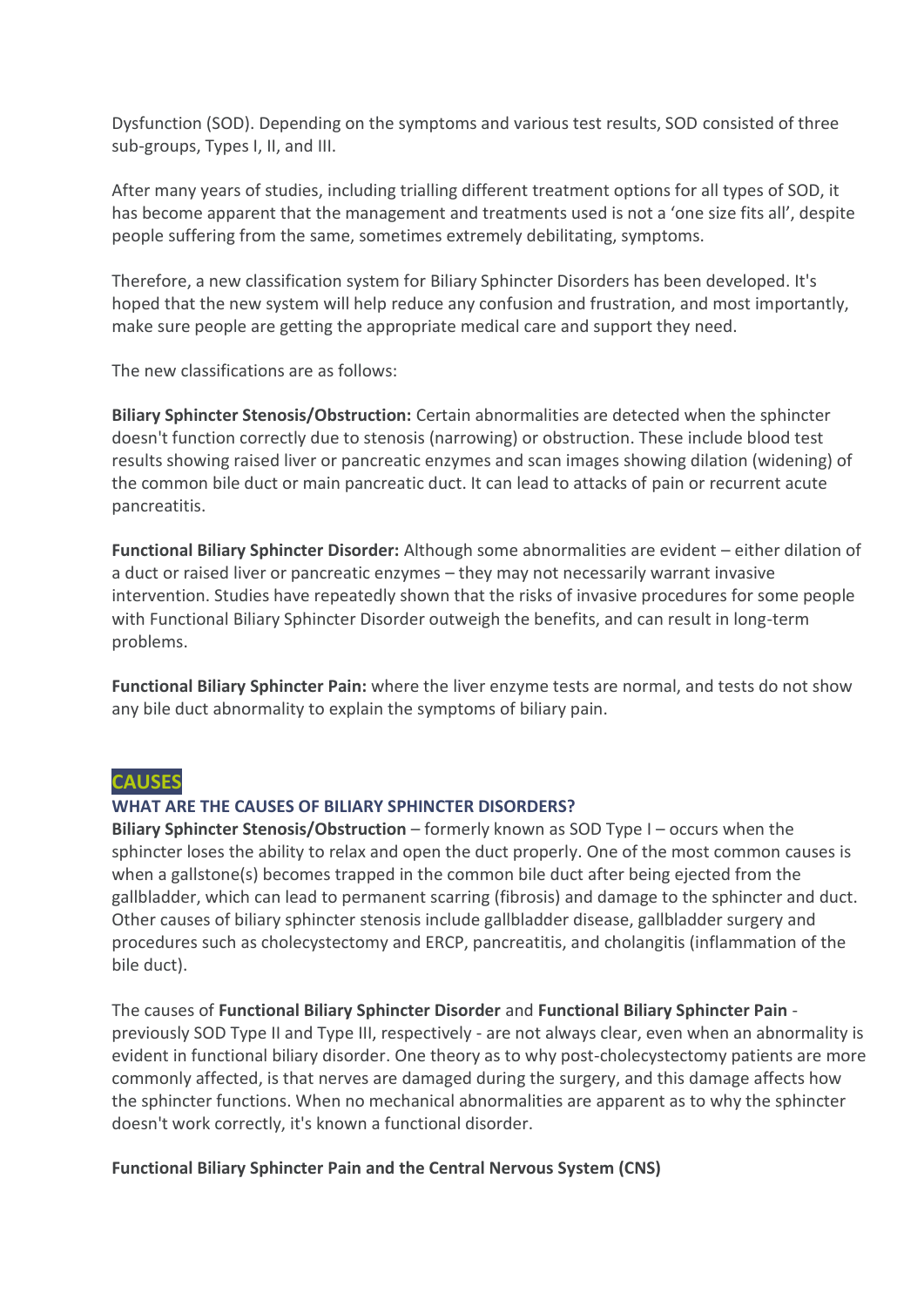Dysfunction (SOD). Depending on the symptoms and various test results, SOD consisted of three sub-groups, Types I, II, and III.

After many years of studies, including trialling different treatment options for all types of SOD, it has become apparent that the management and treatments used is not a 'one size fits all', despite people suffering from the same, sometimes extremely debilitating, symptoms.

Therefore, a new classification system for Biliary Sphincter Disorders has been developed. It's hoped that the new system will help reduce any confusion and frustration, and most importantly, make sure people are getting the appropriate medical care and support they need.

The new classifications are as follows:

**Biliary Sphincter Stenosis/Obstruction:** Certain abnormalities are detected when the sphincter doesn't function correctly due to stenosis (narrowing) or obstruction. These include blood test results showing raised liver or pancreatic enzymes and scan images showing dilation (widening) of the common bile duct or main pancreatic duct. It can lead to attacks of pain or recurrent acute pancreatitis.

**Functional Biliary Sphincter Disorder:** Although some abnormalities are evident – either dilation of a duct or raised liver or pancreatic enzymes – they may not necessarily warrant invasive intervention. Studies have repeatedly shown that the risks of invasive procedures for some people with Functional Biliary Sphincter Disorder outweigh the benefits, and can result in long-term problems.

**Functional Biliary Sphincter Pain:** where the liver enzyme tests are normal, and tests do not show any bile duct abnormality to explain the symptoms of biliary pain.

### **CAUSES**

#### **WHAT ARE THE CAUSES OF BILIARY SPHINCTER DISORDERS?**

**Biliary Sphincter Stenosis/Obstruction** – formerly known as SOD Type I – occurs when the sphincter loses the ability to relax and open the duct properly. One of the most common causes is when a gallstone(s) becomes trapped in the common bile duct after being ejected from the gallbladder, which can lead to permanent scarring (fibrosis) and damage to the sphincter and duct. Other causes of biliary sphincter stenosis include gallbladder disease, gallbladder surgery and procedures such as cholecystectomy and ERCP, pancreatitis, and cholangitis (inflammation of the bile duct).

The causes of **Functional Biliary Sphincter Disorder** and **Functional Biliary Sphincter Pain** previously SOD Type II and Type III, respectively - are not always clear, even when an abnormality is evident in functional biliary disorder. One theory as to why post-cholecystectomy patients are more commonly affected, is that nerves are damaged during the surgery, and this damage affects how the sphincter functions. When no mechanical abnormalities are apparent as to why the sphincter doesn't work correctly, it's known a functional disorder.

### **Functional Biliary Sphincter Pain and the Central Nervous System (CNS)**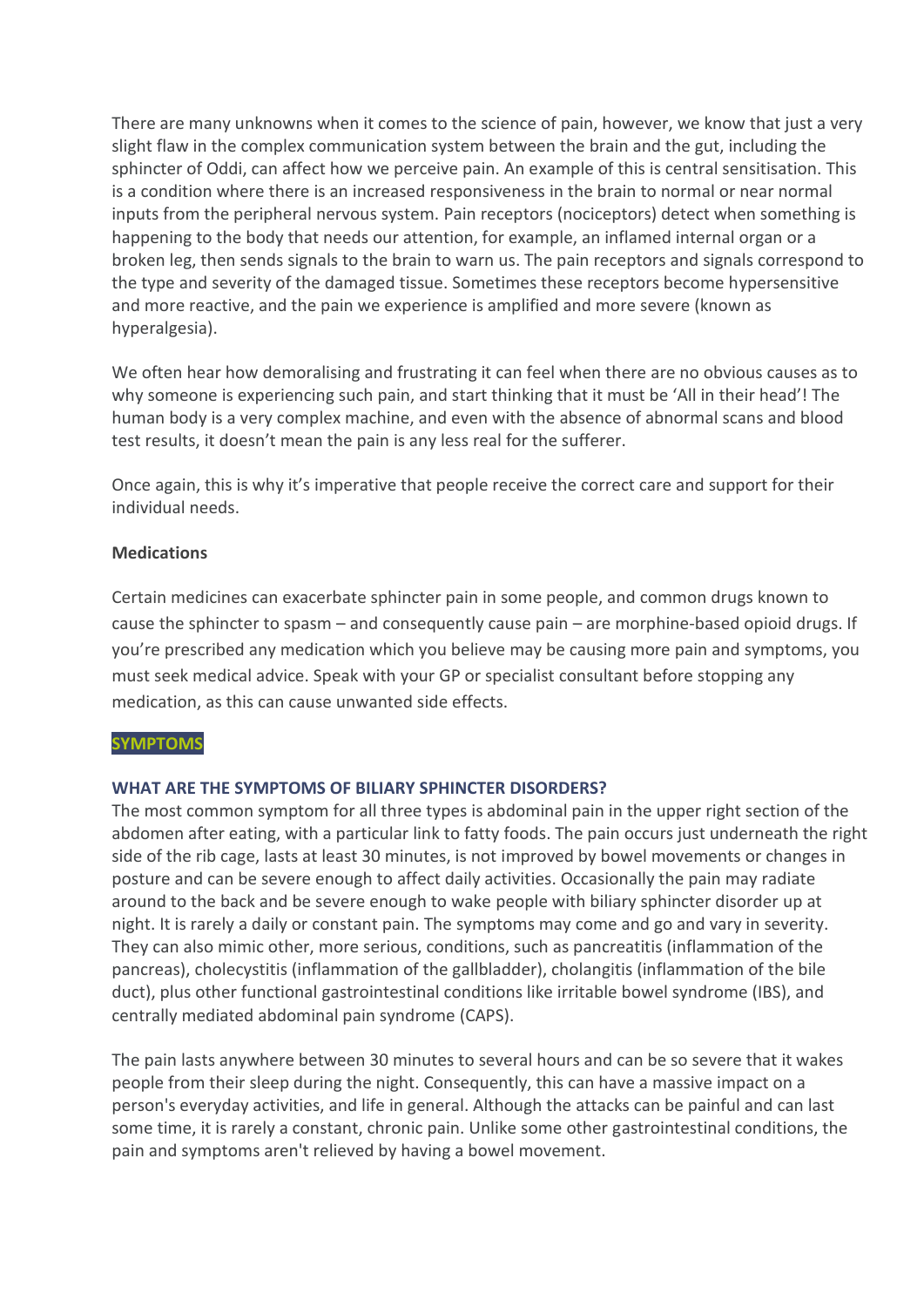There are many unknowns when it comes to the science of pain, however, we know that just a very slight flaw in the complex communication system between the brain and the gut, including the sphincter of Oddi, can affect how we perceive pain. An example of this is central sensitisation. This is a condition where there is an increased responsiveness in the brain to normal or near normal inputs from the peripheral nervous system. Pain receptors (nociceptors) detect when something is happening to the body that needs our attention, for example, an inflamed internal organ or a broken leg, then sends signals to the brain to warn us. The pain receptors and signals correspond to the type and severity of the damaged tissue. Sometimes these receptors become hypersensitive and more reactive, and the pain we experience is amplified and more severe (known as hyperalgesia).

We often hear how demoralising and frustrating it can feel when there are no obvious causes as to why someone is experiencing such pain, and start thinking that it must be 'All in their head'! The human body is a very complex machine, and even with the absence of abnormal scans and blood test results, it doesn't mean the pain is any less real for the sufferer.

Once again, this is why it's imperative that people receive the correct care and support for their individual needs.

### **Medications**

Certain medicines can exacerbate sphincter pain in some people, and common drugs known to cause the sphincter to spasm – and consequently cause pain – are morphine-based opioid drugs. If you're prescribed any medication which you believe may be causing more pain and symptoms, you must seek medical advice. Speak with your GP or specialist consultant before stopping any medication, as this can cause unwanted side effects.

#### **SYMPTOMS**

### **WHAT ARE THE SYMPTOMS OF BILIARY SPHINCTER DISORDERS?**

The most common symptom for all three types is abdominal pain in the upper right section of the abdomen after eating, with a particular link to fatty foods. The pain occurs just underneath the right side of the rib cage, lasts at least 30 minutes, is not improved by bowel movements or changes in posture and can be severe enough to affect daily activities. Occasionally the pain may radiate around to the back and be severe enough to wake people with biliary sphincter disorder up at night. It is rarely a daily or constant pain. The symptoms may come and go and vary in severity. They can also mimic other, more serious, conditions, such as pancreatitis (inflammation of the pancreas), cholecystitis (inflammation of the gallbladder), cholangitis (inflammation of the bile duct), plus other functional gastrointestinal conditions like irritable bowel syndrome (IBS), and centrally mediated abdominal pain syndrome (CAPS).

The pain lasts anywhere between 30 minutes to several hours and can be so severe that it wakes people from their sleep during the night. Consequently, this can have a massive impact on a person's everyday activities, and life in general. Although the attacks can be painful and can last some time, it is rarely a constant, chronic pain. Unlike some other gastrointestinal conditions, the pain and symptoms aren't relieved by having a bowel movement.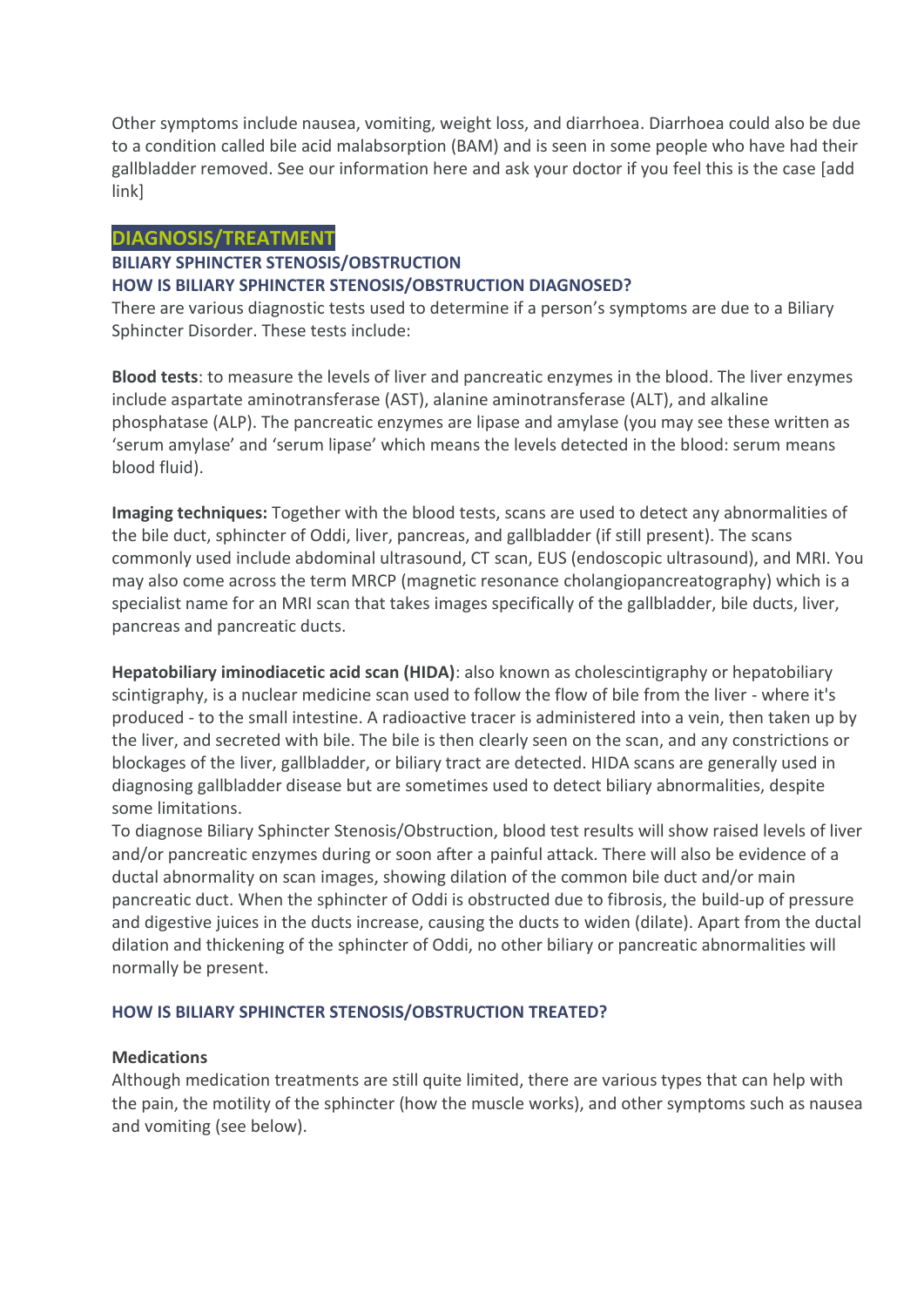Other symptoms include nausea, vomiting, weight loss, and diarrhoea. Diarrhoea could also be due to a condition called bile acid malabsorption (BAM) and is seen in some people who have had their gallbladder removed. See our information here and ask your doctor if you feel this is the case [add link]

### **DIAGNOSIS/TREATMENT**

### **BILIARY SPHINCTER STENOSIS/OBSTRUCTION**

#### **HOW IS BILIARY SPHINCTER STENOSIS/OBSTRUCTION DIAGNOSED?**

There are various diagnostic tests used to determine if a person's symptoms are due to a Biliary Sphincter Disorder. These tests include:

**Blood tests**: to measure the levels of liver and pancreatic enzymes in the blood. The liver enzymes include aspartate aminotransferase (AST), alanine aminotransferase (ALT), and alkaline phosphatase (ALP). The pancreatic enzymes are lipase and amylase (you may see these written as 'serum amylase' and 'serum lipase' which means the levels detected in the blood: serum means blood fluid).

**Imaging techniques:** Together with the blood tests, scans are used to detect any abnormalities of the bile duct, sphincter of Oddi, liver, pancreas, and gallbladder (if still present). The scans commonly used include abdominal ultrasound, CT scan, EUS (endoscopic ultrasound), and MRI. You may also come across the term MRCP (magnetic resonance cholangiopancreatography) which is a specialist name for an MRI scan that takes images specifically of the gallbladder, bile ducts, liver, pancreas and pancreatic ducts.

**Hepatobiliary iminodiacetic acid scan (HIDA)**: also known as cholescintigraphy or hepatobiliary scintigraphy, is a nuclear medicine scan used to follow the flow of bile from the liver - where it's produced - to the small intestine. A radioactive tracer is administered into a vein, then taken up by the liver, and secreted with bile. The bile is then clearly seen on the scan, and any constrictions or blockages of the liver, gallbladder, or biliary tract are detected. HIDA scans are generally used in diagnosing gallbladder disease but are sometimes used to detect biliary abnormalities, despite some limitations.

To diagnose Biliary Sphincter Stenosis/Obstruction, blood test results will show raised levels of liver and/or pancreatic enzymes during or soon after a painful attack. There will also be evidence of a ductal abnormality on scan images, showing dilation of the common bile duct and/or main pancreatic duct. When the sphincter of Oddi is obstructed due to fibrosis, the build-up of pressure and digestive juices in the ducts increase, causing the ducts to widen (dilate). Apart from the ductal dilation and thickening of the sphincter of Oddi, no other biliary or pancreatic abnormalities will normally be present.

#### **HOW IS BILIARY SPHINCTER STENOSIS/OBSTRUCTION TREATED?**

#### **Medications**

Although medication treatments are still quite limited, there are various types that can help with the pain, the motility of the sphincter (how the muscle works), and other symptoms such as nausea and vomiting (see below).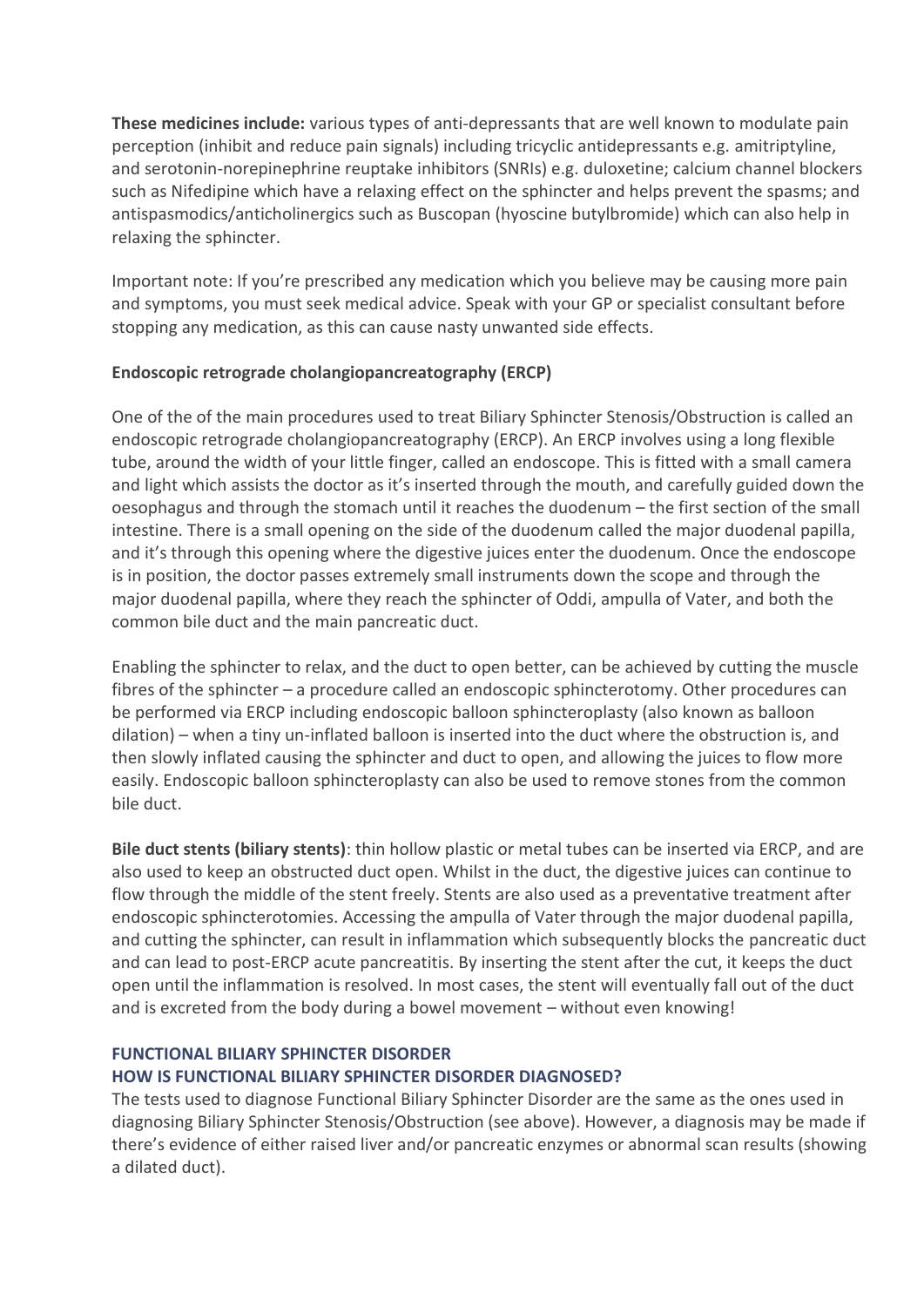**These medicines include:** various types of anti-depressants that are well known to modulate pain perception (inhibit and reduce pain signals) including tricyclic antidepressants e.g. amitriptyline, and serotonin-norepinephrine reuptake inhibitors (SNRIs) e.g. duloxetine; calcium channel blockers such as Nifedipine which have a relaxing effect on the sphincter and helps prevent the spasms; and antispasmodics/anticholinergics such as Buscopan (hyoscine butylbromide) which can also help in relaxing the sphincter.

Important note: If you're prescribed any medication which you believe may be causing more pain and symptoms, you must seek medical advice. Speak with your GP or specialist consultant before stopping any medication, as this can cause nasty unwanted side effects.

### **Endoscopic retrograde cholangiopancreatography (ERCP)**

One of the of the main procedures used to treat Biliary Sphincter Stenosis/Obstruction is called an endoscopic retrograde cholangiopancreatography (ERCP). An ERCP involves using a long flexible tube, around the width of your little finger, called an endoscope. This is fitted with a small camera and light which assists the doctor as it's inserted through the mouth, and carefully guided down the oesophagus and through the stomach until it reaches the duodenum – the first section of the small intestine. There is a small opening on the side of the duodenum called the major duodenal papilla, and it's through this opening where the digestive juices enter the duodenum. Once the endoscope is in position, the doctor passes extremely small instruments down the scope and through the major duodenal papilla, where they reach the sphincter of Oddi, ampulla of Vater, and both the common bile duct and the main pancreatic duct.

Enabling the sphincter to relax, and the duct to open better, can be achieved by cutting the muscle fibres of the sphincter – a procedure called an endoscopic sphincterotomy. Other procedures can be performed via ERCP including endoscopic balloon sphincteroplasty (also known as balloon dilation) – when a tiny un-inflated balloon is inserted into the duct where the obstruction is, and then slowly inflated causing the sphincter and duct to open, and allowing the juices to flow more easily. Endoscopic balloon sphincteroplasty can also be used to remove stones from the common bile duct.

**Bile duct stents (biliary stents)**: thin hollow plastic or metal tubes can be inserted via ERCP, and are also used to keep an obstructed duct open. Whilst in the duct, the digestive juices can continue to flow through the middle of the stent freely. Stents are also used as a preventative treatment after endoscopic sphincterotomies. Accessing the ampulla of Vater through the major duodenal papilla, and cutting the sphincter, can result in inflammation which subsequently blocks the pancreatic duct and can lead to post-ERCP acute pancreatitis. By inserting the stent after the cut, it keeps the duct open until the inflammation is resolved. In most cases, the stent will eventually fall out of the duct and is excreted from the body during a bowel movement – without even knowing!

### **FUNCTIONAL BILIARY SPHINCTER DISORDER**

### **HOW IS FUNCTIONAL BILIARY SPHINCTER DISORDER DIAGNOSED?**

The tests used to diagnose Functional Biliary Sphincter Disorder are the same as the ones used in diagnosing Biliary Sphincter Stenosis/Obstruction (see above). However, a diagnosis may be made if there's evidence of either raised liver and/or pancreatic enzymes or abnormal scan results (showing a dilated duct).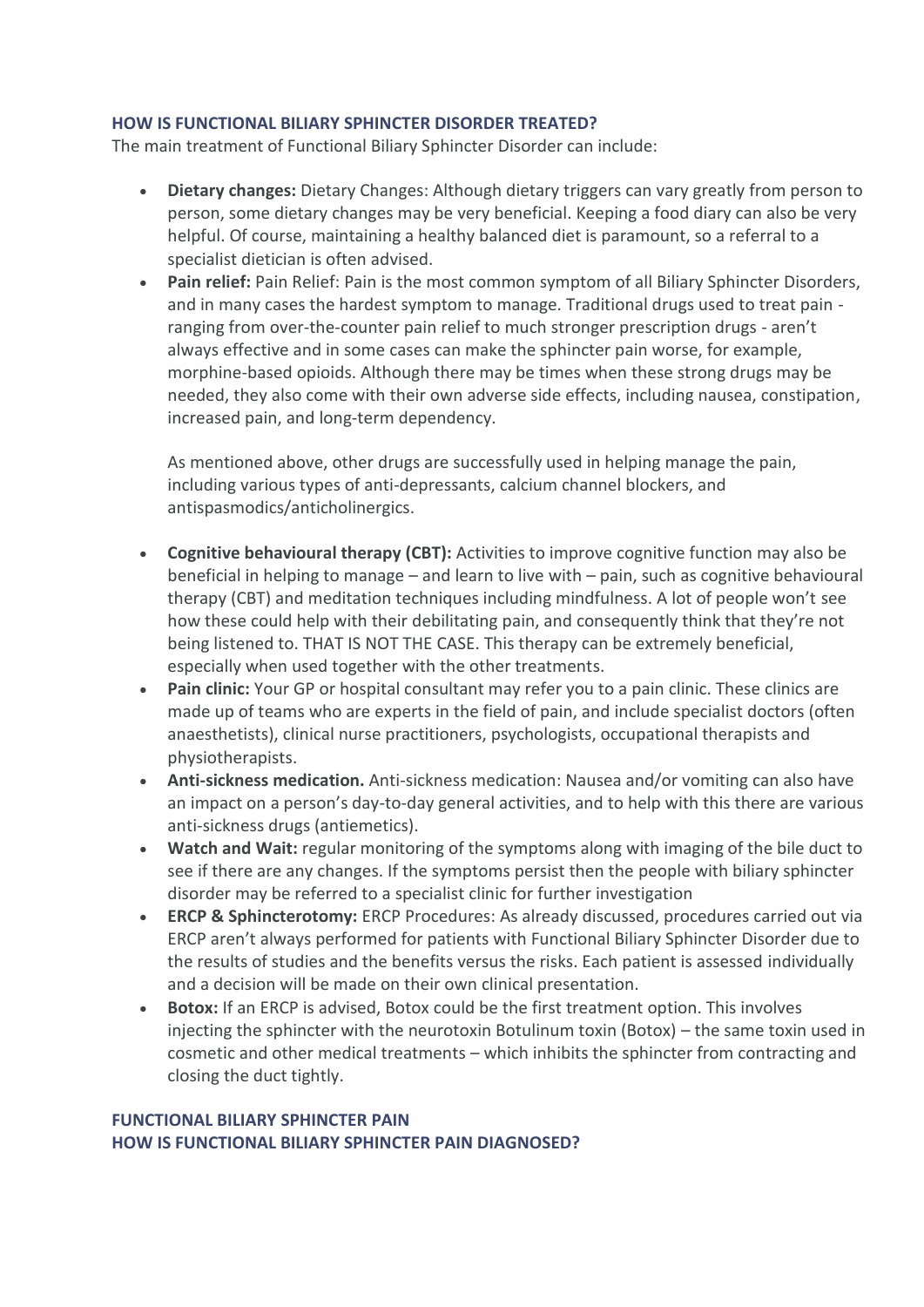### **HOW IS FUNCTIONAL BILIARY SPHINCTER DISORDER TREATED?**

The main treatment of Functional Biliary Sphincter Disorder can include:

- **Dietary changes:** Dietary Changes: Although dietary triggers can vary greatly from person to person, some dietary changes may be very beneficial. Keeping a food diary can also be very helpful. Of course, maintaining a healthy balanced diet is paramount, so a referral to a specialist dietician is often advised.
- **Pain relief:** Pain Relief: Pain is the most common symptom of all Biliary Sphincter Disorders, and in many cases the hardest symptom to manage. Traditional drugs used to treat pain ranging from over-the-counter pain relief to much stronger prescription drugs - aren't always effective and in some cases can make the sphincter pain worse, for example, morphine-based opioids. Although there may be times when these strong drugs may be needed, they also come with their own adverse side effects, including nausea, constipation, increased pain, and long-term dependency.

As mentioned above, other drugs are successfully used in helping manage the pain, including various types of anti-depressants, calcium channel blockers, and antispasmodics/anticholinergics.

- **Cognitive behavioural therapy (CBT):** Activities to improve cognitive function may also be beneficial in helping to manage – and learn to live with – pain, such as cognitive behavioural therapy (CBT) and meditation techniques including mindfulness. A lot of people won't see how these could help with their debilitating pain, and consequently think that they're not being listened to. THAT IS NOT THE CASE. This therapy can be extremely beneficial, especially when used together with the other treatments.
- **Pain clinic:** Your GP or hospital consultant may refer you to a pain clinic. These clinics are made up of teams who are experts in the field of pain, and include specialist doctors (often anaesthetists), clinical nurse practitioners, psychologists, occupational therapists and physiotherapists.
- **Anti-sickness medication.** Anti-sickness medication: Nausea and/or vomiting can also have an impact on a person's day-to-day general activities, and to help with this there are various anti-sickness drugs (antiemetics).
- **Watch and Wait:** regular monitoring of the symptoms along with imaging of the bile duct to see if there are any changes. If the symptoms persist then the people with biliary sphincter disorder may be referred to a specialist clinic for further investigation
- **ERCP & Sphincterotomy:** ERCP Procedures: As already discussed, procedures carried out via ERCP aren't always performed for patients with Functional Biliary Sphincter Disorder due to the results of studies and the benefits versus the risks. Each patient is assessed individually and a decision will be made on their own clinical presentation.
- **Botox:** If an ERCP is advised, Botox could be the first treatment option. This involves injecting the sphincter with the neurotoxin Botulinum toxin (Botox) – the same toxin used in cosmetic and other medical treatments – which inhibits the sphincter from contracting and closing the duct tightly.

### **FUNCTIONAL BILIARY SPHINCTER PAIN HOW IS FUNCTIONAL BILIARY SPHINCTER PAIN DIAGNOSED?**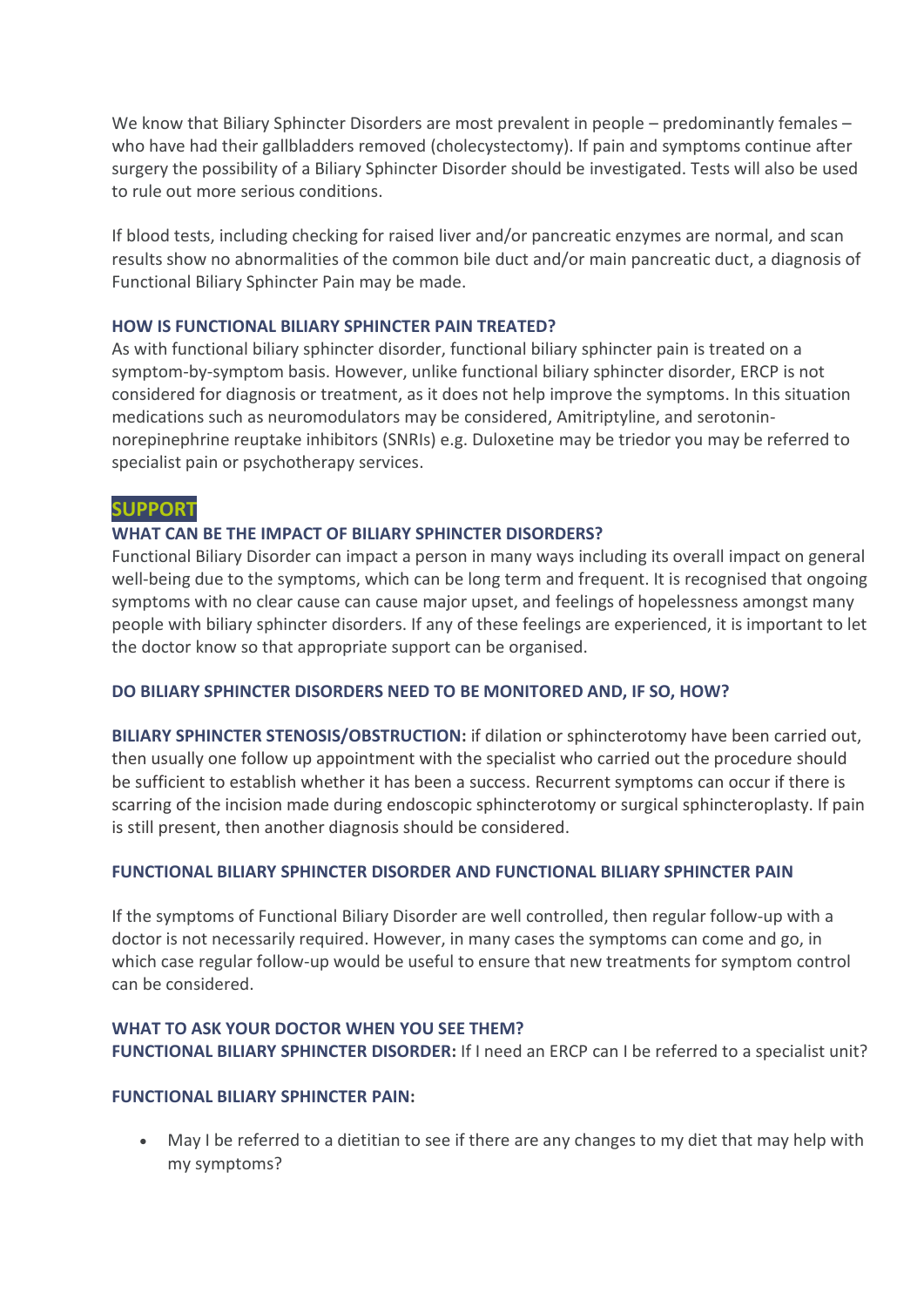We know that Biliary Sphincter Disorders are most prevalent in people – predominantly females – who have had their gallbladders removed (cholecystectomy). If pain and symptoms continue after surgery the possibility of a Biliary Sphincter Disorder should be investigated. Tests will also be used to rule out more serious conditions.

If blood tests, including checking for raised liver and/or pancreatic enzymes are normal, and scan results show no abnormalities of the common bile duct and/or main pancreatic duct, a diagnosis of Functional Biliary Sphincter Pain may be made.

### **HOW IS FUNCTIONAL BILIARY SPHINCTER PAIN TREATED?**

As with functional biliary sphincter disorder, functional biliary sphincter pain is treated on a symptom-by-symptom basis. However, unlike functional biliary sphincter disorder, ERCP is not considered for diagnosis or treatment, as it does not help improve the symptoms. In this situation medications such as neuromodulators may be considered, Amitriptyline, and serotoninnorepinephrine reuptake inhibitors (SNRIs) e.g. Duloxetine may be triedor you may be referred to specialist pain or psychotherapy services.

### **SUPPORT**

#### **WHAT CAN BE THE IMPACT OF BILIARY SPHINCTER DISORDERS?**

Functional Biliary Disorder can impact a person in many ways including its overall impact on general well-being due to the symptoms, which can be long term and frequent. It is recognised that ongoing symptoms with no clear cause can cause major upset, and feelings of hopelessness amongst many people with biliary sphincter disorders. If any of these feelings are experienced, it is important to let the doctor know so that appropriate support can be organised.

#### **DO BILIARY SPHINCTER DISORDERS NEED TO BE MONITORED AND, IF SO, HOW?**

**BILIARY SPHINCTER STENOSIS/OBSTRUCTION:** if dilation or sphincterotomy have been carried out, then usually one follow up appointment with the specialist who carried out the procedure should be sufficient to establish whether it has been a success. Recurrent symptoms can occur if there is scarring of the incision made during endoscopic sphincterotomy or surgical sphincteroplasty. If pain is still present, then another diagnosis should be considered.

#### **FUNCTIONAL BILIARY SPHINCTER DISORDER AND FUNCTIONAL BILIARY SPHINCTER PAIN**

If the symptoms of Functional Biliary Disorder are well controlled, then regular follow-up with a doctor is not necessarily required. However, in many cases the symptoms can come and go, in which case regular follow-up would be useful to ensure that new treatments for symptom control can be considered.

### **WHAT TO ASK YOUR DOCTOR WHEN YOU SEE THEM? FUNCTIONAL BILIARY SPHINCTER DISORDER:** If I need an ERCP can I be referred to a specialist unit?

#### **FUNCTIONAL BILIARY SPHINCTER PAIN:**

• May I be referred to a dietitian to see if there are any changes to my diet that may help with my symptoms?